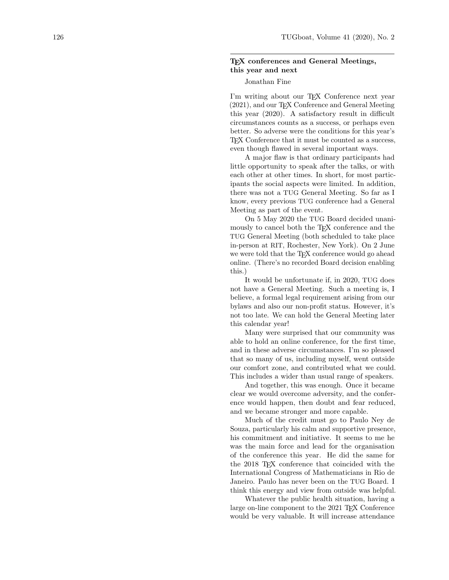## T<sub>F</sub>X conferences and General Meetings, this year and next

## Jonathan Fine

I'm writing about our T<sub>EX</sub> Conference next year (2021), and our TEX Conference and General Meeting this year (2020). A satisfactory result in difficult circumstances counts as a success, or perhaps even better. So adverse were the conditions for this year's TEX Conference that it must be counted as a success, even though flawed in several important ways.

A major flaw is that ordinary participants had little opportunity to speak after the talks, or with each other at other times. In short, for most participants the social aspects were limited. In addition, there was not a TUG General Meeting. So far as I know, every previous TUG conference had a General Meeting as part of the event.

On 5 May 2020 the TUG Board decided unanimously to cancel both the T<sub>E</sub>X conference and the TUG General Meeting (both scheduled to take place in-person at RIT, Rochester, New York). On 2 June we were told that the TEX conference would go ahead online. (There's no recorded Board decision enabling this.)

It would be unfortunate if, in 2020, TUG does not have a General Meeting. Such a meeting is, I believe, a formal legal requirement arising from our bylaws and also our non-profit status. However, it's not too late. We can hold the General Meeting later this calendar year!

Many were surprised that our community was able to hold an online conference, for the first time, and in these adverse circumstances. I'm so pleased that so many of us, including myself, went outside our comfort zone, and contributed what we could. This includes a wider than usual range of speakers.

And together, this was enough. Once it became clear we would overcome adversity, and the conference would happen, then doubt and fear reduced, and we became stronger and more capable.

Much of the credit must go to Paulo Ney de Souza, particularly his calm and supportive presence, his commitment and initiative. It seems to me he was the main force and lead for the organisation of the conference this year. He did the same for the 2018 TEX conference that coincided with the International Congress of Mathematicians in Rio de Janeiro. Paulo has never been on the TUG Board. I think this energy and view from outside was helpful.

Whatever the public health situation, having a large on-line component to the 2021 TEX Conference would be very valuable. It will increase attendance